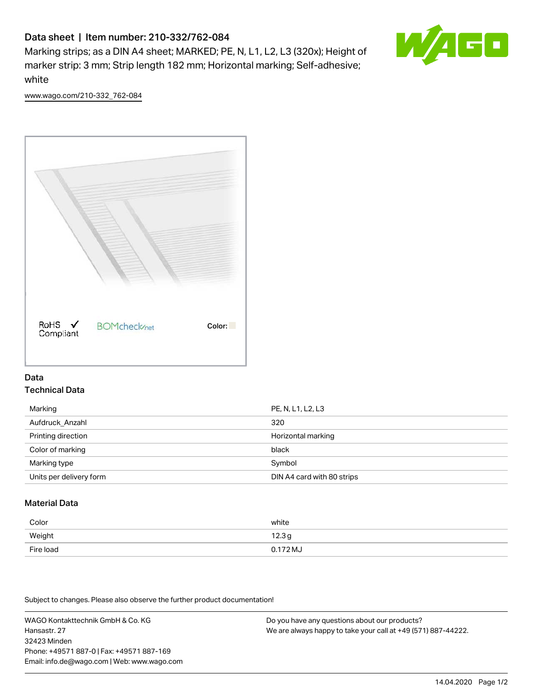# Data sheet | Item number: 210-332/762-084

Marking strips; as a DIN A4 sheet; MARKED; PE, N, L1, L2, L3 (320x); Height of marker strip: 3 mm; Strip length 182 mm; Horizontal marking; Self-adhesive; white



[www.wago.com/210-332\\_762-084](http://www.wago.com/210-332_762-084)



## Data Technical Data

| Marking                 | PE, N, L1, L2, L3          |
|-------------------------|----------------------------|
| Aufdruck_Anzahl         | 320                        |
| Printing direction      | Horizontal marking         |
| Color of marking        | black                      |
| Marking type            | Symbol                     |
| Units per delivery form | DIN A4 card with 80 strips |

# Material Data

| Color     | white    |
|-----------|----------|
| Weight    | 12.3g    |
| Fire load | 0.172 MJ |

Subject to changes. Please also observe the further product documentation!

WAGO Kontakttechnik GmbH & Co. KG Hansastr. 27 32423 Minden Phone: +49571 887-0 | Fax: +49571 887-169 Email: info.de@wago.com | Web: www.wago.com Do you have any questions about our products? We are always happy to take your call at +49 (571) 887-44222.